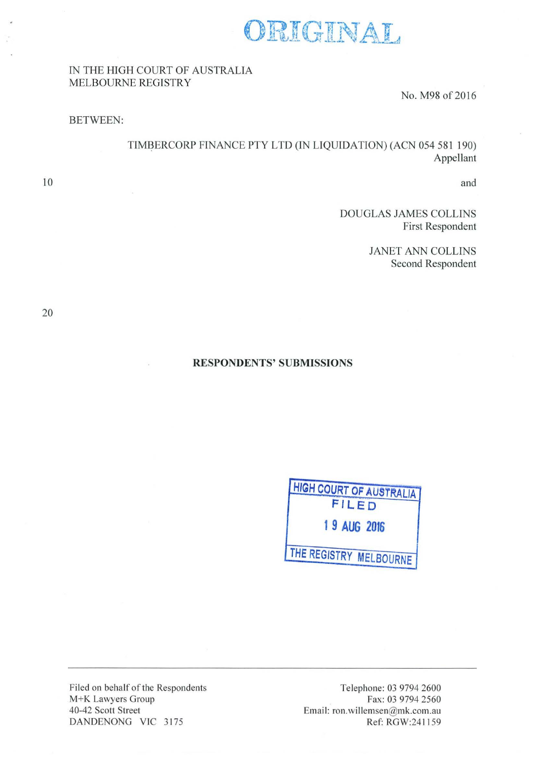

### IN THE HIGH COURT OF AUSTRALIA MELBOURNE REGISTRY

No. M98 of 2016

#### BETWEEN:

TIMBERCORP FINANCE PTY LTD (IN LIQUIDATION) (ACN 054 581 190) Appellant

and

DOUGLAS JAMES COLLINS First Respondent

> JANET ANN COLLINS Second Respondent

10

#### **RESPONDENTS' SUBMISSIONS**



Filed on behalf of the Respondents M+K Lawyers Group 40-42 Scott Street DANDENONG VIC 3175

Te lephone: 03 9794 2600 Fax: 03 9794 2560 Email: ron. willemsen@mk.com.au Ref: RGW:241159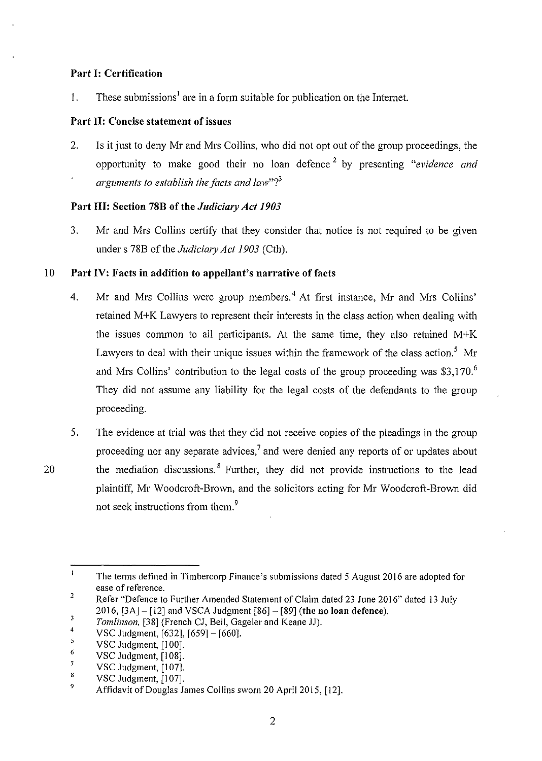### **Part 1: Certification**

1. These submissions<sup>1</sup> are in a form suitable for publication on the Internet.

### **Part 11: Concise statement of issues**

2. Is it just to deny Mr and Mrs Collins, who did not opt out of the group proceedings, the opportunity to make good their no loan defence 2 by presenting *"evidence and arguments to establish the facts and law*"?<sup>3</sup>

# **Part Ill: Section 78B of the** *Judicimy Act 1903*

3. Mr and Mrs Collins certify that they consider that notice is not required to be given under s 78B of the *Judiciary Act 1903* (Cth).

# 10 **Part IV: Facts in addition to appellant's narrative of facts**

- 4. Mr and Mrs Collins were group members.<sup>4</sup> At first instance, Mr and Mrs Collins' retained M+K Lawyers to represent their interests in the class action when dealing with the issues common to all participants. At the same time, they also retained  $M+K$ Lawyers to deal with their unique issues within the framework of the class action.<sup>5</sup> Mr and Mrs Collins' contribution to the legal costs of the group proceeding was \$3,170.<sup>6</sup> They did not assume any liability for the legal costs of the defendants to the group proceeding.
- 5. The evidence at trial was that they did not receive copies of the pleadings in the group proceeding nor any separate advices,<sup>7</sup> and were denied any reports of or updates about 20 the mediation discussions. <sup>8</sup> Further, they did not provide instructions to the lead plaintiff, Mr Woodcroft-Brown, and the solicitors acting for Mr Woodcroft-Brown did not seek instructions from them.<sup>9</sup>

 $\mathbf{t}$ The terms defined in Timbercorp Finance's submissions dated 5 August 2016 are adopted for ease of reference.  $\overline{2}$ 

Refer "Defence to Further Amended Statement of Claim dated 23 June 2016" dated 13 July 2016, [3A]- [12] and VSCA Judgment [86]- [89] **(the no loan defence).** 

<sup>3</sup>  *Tomlinson,* [38] (French CJ, Bell, Gageler and Keane JJ).

<sup>4</sup>  VSC Judgment, [632], [659]- [660].

*<sup>5</sup>*  VSC Judgment, [100].

<sup>6</sup>  VSC Judgment, [I 08].

 $\boldsymbol{7}$ VSC Judgment, [107].

<sup>8</sup>  VSC Judgment, [107].

<sup>9</sup>  Affidavit of Douglas James Collins sworn 20 April 2015, [12].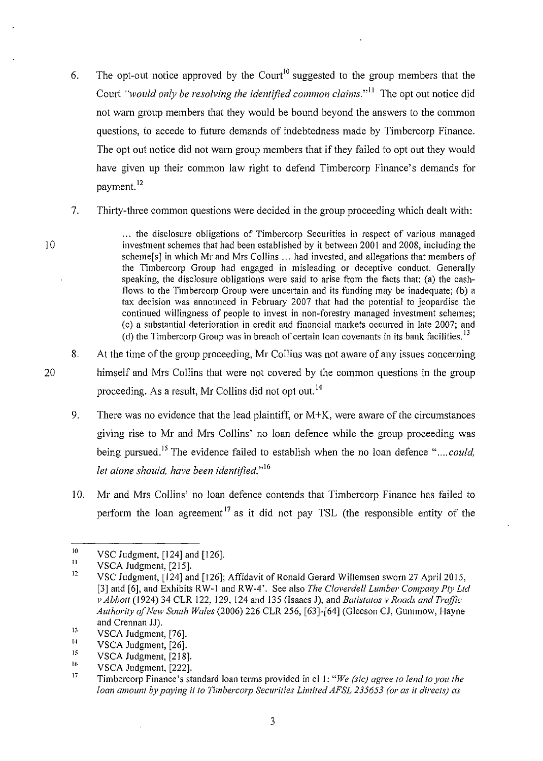- 6. The opt-out notice approved by the Court<sup>10</sup> suggested to the group members that the Court *"would only be resolving the identified common claims.*"<sup>11</sup> The opt out notice did not warn group members that they would be bound beyond the answers to the common questions, to accede to future demands of indebtedness made by Timbercorp Finance. The opt out notice did not warn group members that if they failed to opt out they would have given up their common law right to defend Timbercorp Finance's demands for payment. <sup>12</sup>
- 7. Thirty-three common questions were decided in the group proceeding which dealt with:

. .. the disclosure obligations of Timbercorp Securities in respect of various managed investment schemes that had been established by it between 2001 and 2008, including the scheme[s] in which Mr and Mrs Collins ... had invested, and allegations that members of the Timbercorp Group had engaged in misleading or deceptive conduct. Generally speaking, the disclosure obligations were said to arise from the facts that: (a) the cashflows to the Timbercorp Group were uncertain and its funding may be inadequate; (b) a tax decision was announced in February 2007 that had the potential to jeopardise the continued willingness of people to invest in non-forestry managed investment schemes; (c) a substantial deterioration in credit and financial markets occurred in late 2007; and (d) the Timbercorp Group was in breach of certain loan covenants in its bank facilities.<sup>13</sup>

- 8. At the time of the group proceeding, Mr Collins was not aware of any issues concerning himself and Mrs Collins that were not covered by the common questions in the group proceeding. As a result, Mr Collins did not opt out. 14
	- 9. There was no evidence that the lead plaintiff, or M+K, were aware of the circumstances giving rise to Mr and Mrs Collins' no loan defence while the group proceeding was being pursued.<sup>15</sup> The evidence failed to establish when the no loan defence "....could, *let alone should, have been identified.*"<sup>16</sup>
	- 10. Mr and Mrs Collins' no loan defence contends that Timbercorp Finance has failed to perform the loan agreement<sup>17</sup> as it did not pay TSL (the responsible entity of the

10

20

<sup>10</sup>  VSC Judgment, [124] and [126].

<sup>11</sup>  VSCA Judgment, [215].

<sup>12</sup> VSC Judgment, [124] and [126]; Affidavit of Ronald Gerard Willemsen sworn 27 April 2015, [3] and [6], and Exhibits RW-I and RW-4'. See also *The Cloverde/1 Lumber Company Pty Ltd v Abbott* (1924) 34 CLR 122, 129, 124 and 135 (Isaacs J), and *Batistatos v Roads and Traffic Authority of New South Wales* (2006) 226 CLR 256, [63]-[64] (Gieeson CJ, Gummow, Hayne and Crennan JJ).

<sup>13</sup>  VSCA Judgment, [76].

<sup>14</sup>  VSCA Judgment, [26].

<sup>15</sup>  VSCA Judgment, [218].

<sup>16</sup>  VSCA Judgment, [222].

<sup>17</sup>  Timbercorp Finance's standard loan terms provided in cl I: *"We (sic) agree to lend to you the loan amount by paying it to Timbercorp Securities Limited AFSL 235653 (or as it directs) as*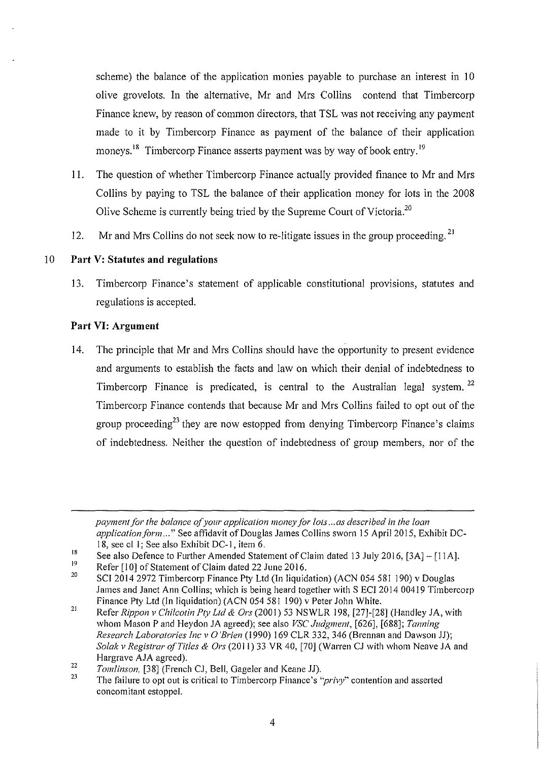scheme) the balance of the application monies payable to purchase an interest in 10 olive grovelots. In the alternative, Mr and Mrs Collins contend that Timbercorp Finance knew, by reason of common directors, that TSL was not receiving any payment made to it by Timbercorp Finance as payment of the balance of their application moneys.<sup>18</sup> Timbercorp Finance asserts payment was by way of book entry.<sup>19</sup>

- 11. The question of whether Timbercorp Finance actually provided finance to Mr and Mrs Collins by paying to TSL the balance of their application money for lots in the 2008 Olive Scheme is currently being tried by the Supreme Court of Victoria.<sup>20</sup>
- 12. Mr and Mrs Collins do not seek now to re-litigate issues in the group proceeding. 21

# 10 **Part V: Statutes and regulations**

13. Timbercorp Finance's statement of applicable constitutional provisions, statutes and regulations is accepted.

# **Part VI: Argument**

14. The principle that Mr and Mrs Collins should have the opportunity to present evidence and arguments to establish the facts and law on which their denial of indebtedness to Timbercorp Finance is predicated, is central to the Australian legal system.<sup>22</sup> Timbercorp Finance contends that because Mr and Mrs Collins failed to opt out of the group proceeding<sup>23</sup> they are now estopped from denying Timbercorp Finance's claims of indebtedness. Neither the question of indebtedness of group members, nor of the

*payment for the balance of your application money for lots ... as described in the loan application form...*" See affidavit of Douglas James Collins sworn 15 April 2015, Exhibit DC-I 8, see cl I; See also Exhibit DC-I, item 6.

<sup>18</sup>  See also Defence to Further Amended Statement of Claim dated 13 July 2016, [3A] - [11A].

<sup>19</sup>  Refer [10] of Statement of Claim dated 22 June 2016.

<sup>20</sup>  SC12014 2972 Timbercorp Finance Pty Ltd (In liquidation) (ACN 054 581 190) v Douglas James and Janet Ann Collins; which is being heard together with S ECI 2014 00419 Timbercorp Finance Pty Ltd (In liquidation) (ACN 054 581 190) v Peter John White.

<sup>21</sup>  Refer *Rippon v Chilcotin Pty Ltd* & *Ors* (200 1) 53 NSWLR 198, [27]-[28] (Handley JA, with whom Mason P and Heydon JA agreed); see also *VSC Judgment,* [626], [688]; *Tanning Research Laboratories !ne v* 0 *'Brien* (1990) 169 CLR 332, 346 (Brennan and Dawson JJ); *Solak v Registrar of Titles & Ors* (2011) 33 VR 40, [70] (Warren CJ with whom Neave JA and Hargrave AJA agreed).

**<sup>22</sup>**  *Tomlinson,* [38] (French CJ, Bell, Gageler and Keane JJ).

**<sup>23</sup>**  The failure to opt out is critical to Timbercorp Finance's *"privy"* contention and asserted concomitant estoppel.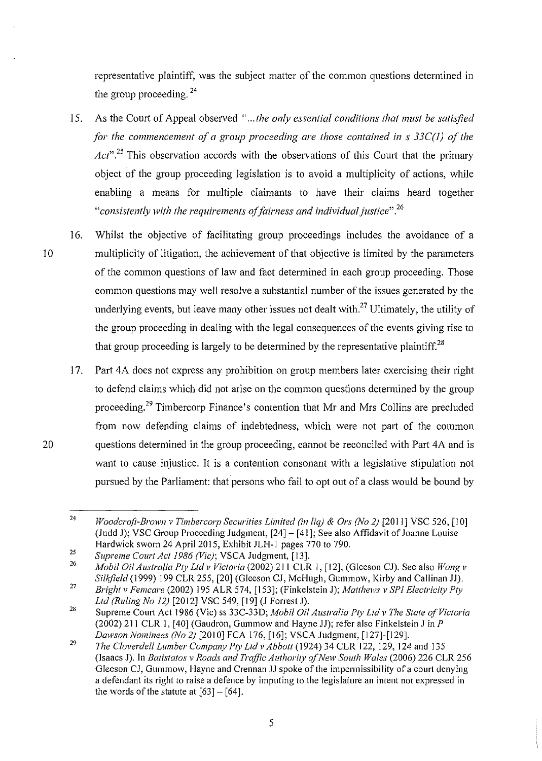representative plaintiff, was the subject matter of the common questions determined in the group proceeding.  $24$ 

- 15. As the Court of Appeal observed "...the only essential conditions that must be satisfied *for the commencement of a group proceeding are those contained in s 33C(l) of the*  Act<sup>", 25</sup> This observation accords with the observations of this Court that the primary object of the group proceeding legislation is to avoid a multiplicity of actions, while enabling a means for multiple claimants to have their claims heard together <sup>"</sup>consistently with the requirements of fairness and individual justice".<sup>26</sup>
- 16. Whilst the objective of facilitating group proceedings includes the avoidance of a I 0 multiplicity of litigation, the achievement of that objective is limited by the parameters of the common questions of law and fact determined in each group proceeding. Those common questions may well resolve a substantial number of the issues generated by the underlying events, but leave many other issues not dealt with.<sup>27</sup> Ultimately, the utility of the group proceeding in dealing with the legal consequences of the events giving rise to that group proceeding is largely to be determined by the representative plaintiff.<sup>28</sup>
- 17. Part 4A does not express any prohibition on group members later exercising their right to defend claims which did not arise on the common questions determined by the group proceeding.29 Timbercorp Finance's contention that Mr and Mrs Collins are precluded from now defending claims of indebtedness, which were not part of the common 20 questions determined in the group proceeding, cannot be reconciled with Part 4A and is want to cause injustice. It is a contention consonant with a legislative stipulation not pursued by the Parliament: that persons who fail to opt out of a class would be bound by

<sup>24</sup>  *Woodcroft-Brown v Timbercorp Securities Limited (in liq) & Ors (No 2)* [2011] VSC 526, [10] (Judd J); VSC Group Proceeding Judgment, [24]- [41]; See also Affidavit of Joanne Louise Hardwick sworn 24 Apri12015, Exhibit JLH-1 pages 770 to 790.

<sup>25</sup>  *Supreme Court Act 1986 (Vie);* VSCA Judgment, [13].

<sup>26</sup>  *Mobil Oil Australia Pty Ltd v Victoria* (2002) 211 CLR 1, [12], (Gleeson CJ). See also *Wong v Silkjie/d* (1999) 199 CLR 255, [20] (Gleeson CJ, McHugh, Gum mow, Kirby and Callinan JJ).

<sup>27</sup>  *Bright v Femcare* (2002) I 95 ALR 574, [153]; (Finkelstein J); *Matt hews v SPI Electricity Pty Ltd (Ruling No 12)* [2012] VSC 549, [19] (J Forrest J).

<sup>28</sup>  Supreme Court Act 1986 (Vie) ss 33C-33D; *Mobil Oil Australia Pty Ltd v The State qfVictoria*  (2002) 211 CLR 1, [40] (Gaudron, Gummow and Hayne JJ); refer also Finkelstein J in  $P$ *Dawson Nominees (No 2)* [201 0] FCA 176, [16]; VSCA Judgment, [127]-[129].

<sup>29</sup>  *The Cloverdell Lumber Company Pty Ltd v Abbott* (1924) 34 CLR 122, 129, 124 and 135 (lsaacs J). In *Batistatos v Roads and Traffic Authority of New South Wales* (2006) 226 CLR 256 Gleeson CJ, Gummow, Hayne and Crennan JJ spoke of the impermissibility of a court denying a defendant its right to raise a defence by imputing to the legislature an intent not expressed in the words of the statute at  $[63] - [64]$ .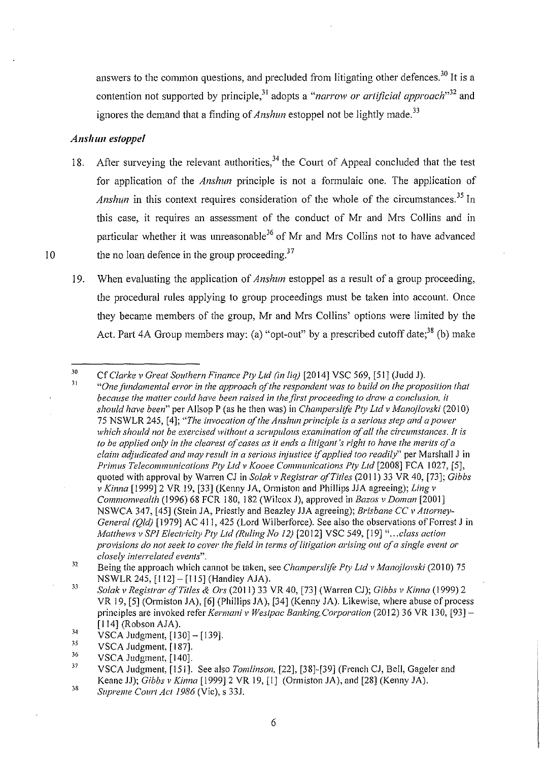answers to the common questions, and precluded from litigating other defences.<sup>30</sup> It is a contention not supported by principle,<sup>31</sup> adopts a "*narrow or artificial approach*"<sup>32</sup> and ignores the demand that a finding of *Anshun* estoppel not be lightly made.<sup>33</sup>

### *Ansltun estoppel*

- 18. After surveying the relevant authorities,  $34$  the Court of Appeal concluded that the test for application of the *Anshun* principle is not a formulaic one. The application of *Anshun* in this context requires consideration of the whole of the circumstances.<sup>35</sup> In this case, it requires an assessment of the conduct of Mr and Mrs Collins and in particular whether it was unreasonable<sup>36</sup> of Mr and Mrs Collins not to have advanced  $10$  the no loan defence in the group proceeding.<sup>37</sup>
	- 19. When evaluating the application of *Anshun* estoppel as a result of a group proceeding, the procedural rules applying to group proceedings must be taken into account. Once they became members of the group, Mr and Mrs Collins' options were limited by the Act. Part 4A Group members may: (a) "opt-out" by a prescribed cutoff date;  $38$  (b) make

<sup>30</sup>  31 Cf *Clarke v Great Southern Finance Pty Ltd (in liq)* [20 14] VSC 569, [51] (Judd J). *"Onefimdamental error in the approach oft he respondent was to build on the proposition that*  because the matter could have been raised in the first proceeding to draw a conclusion, it *should have been"* per Allsop P (as he then was) in *Champerslife Pty Ltd v Manoj/ovski* (201 0) 75 NSWLR 245, [4]; *"The invocation of the Anslnm principle is a serious step and a power which should not be exercised without a scrupulous examination of all the circumstances. It is to be applied only in the clearest of cases as it ends a litigant's right to have the merits of a claim adjudicated and may result in a serious injustice if applied too readily"* per Marshal! J in *Primus Telecommunications Pty Ltd v Kooee Communications Ply Ltd* [2008] FCA 1027, [5], quoted with approval by Warren CJ in *Solak v Registrar qfTitles* (2011) 33 VR 40, [73]; *Gibbs v Kinna* [1999]2 VR 19, [33] (Kenny JA, Ormiston and Phillips JJA agreeing); *Ling v Commonwealth* (1996) 68 FCR 180, 182 (Wilcox J), approved in *Bazos v Doman* [2001] NSW CA 347, [45] (Stein JA, Priestly and Beazley JJA agreeing); *Brisbane CC v Attorney-General (Qld)* [1979] AC 411, 425 (Lord Wilberforce). See also the observations of Forrest J in *Mat thews v SPJ Electricity Pty Ltd (Ruling No 12)* [20 12] VSC 549, [19] *" ... class action provisions do not seek to cover the field in terms qf litigation arising out of a single event or closely interrelated events".* 

<sup>32</sup>  Being the approach which cannot be taken, see *Champerslife Pty Ltd v Manojlovski* (2010) 75 NSWLR 245, [112]- [115] (Handley AJA).

<sup>33</sup>  *Solak v Registrar of Titles* & *Ors* (2011) 33 VR 40, [73] (Warren CJ); *Gibbs v Kinna* (1999) 2 VR 19, [5] (Ormiston JA), [6] (Phillips JA), [34] (Kenny JA). Likewise, where abuse of process principles are invoked refer *Kermani v Westpac Banking. Corporation* (2012) 36 VR 130, [93] -[114] (Robson AJA).

<sup>34</sup>  VSCA Judgment, [130]- [139].

<sup>35</sup>  VSCA Judgment, [187].

<sup>36</sup>  VSCA Judgment, [140].

<sup>37</sup>  VSCA Judgment, [151]. See also *Tomlinson.* [22], [38]-[39] (French CJ, Bell, Gageler and Keane JJ); *Gibbs v Kinna* [1999]2 VR 19, [I] (Ormiston JA), and [28] (Kenny JA).

<sup>38</sup>  *Supreme Court Ac/1986* (Vie), s 33J.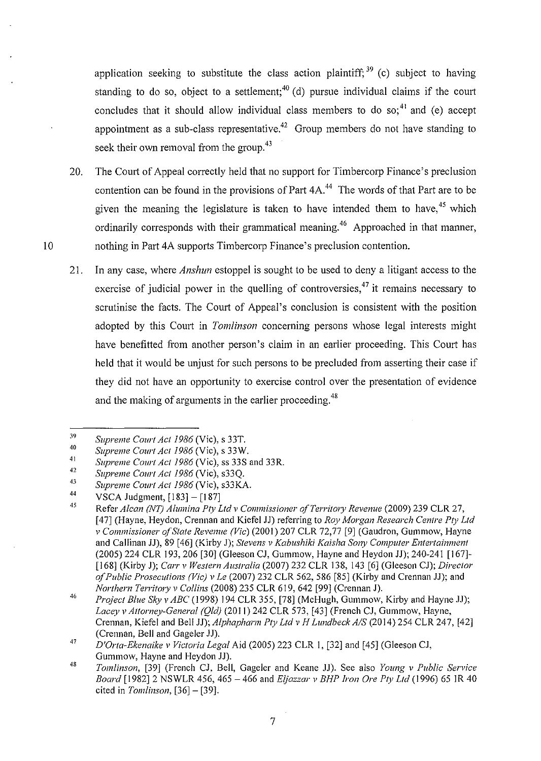application seeking to substitute the class action plaintiff;  $39$  (c) subject to having standing to do so, object to a settlement;<sup>40</sup> (d) pursue individual claims if the court concludes that it should allow individual class members to do so;<sup>41</sup> and (e) accept appointment as a sub-class representative.<sup>42</sup> Group members do not have standing to seek their own removal from the group.<sup>43</sup>

- 20. The Court of Appeal correctly held that no support for Timbercorp Finance's preclusion contention can be found in the provisions of Part 4A.<sup>44</sup> The words of that Part are to be given the meaning the legislature is taken to have intended them to have,<sup>45</sup> which ordinarily corresponds with their grammatical meaning.<sup>46</sup> Approached in that manner, 10 nothing in Part 4A supports Timbercorp Finance's preclusion contention.
	- 21. In any case, where *Anshun* estoppel is sought to be used to deny a litigant access to the exercise of judicial power in the quelling of controversies,  $47$  it remains necessary to scrutinise the facts. The Court of Appeal's conclusion is consistent with the position adopted by this Court in *Tomlinson* concerning persons whose legal interests might have benefitted from another person's claim in an earlier proceeding. This Court has held that it would be unjust for such persons to be precluded from asserting their case if they did not have an opportunity to exercise control over the presentation of evidence and the making of arguments in the earlier proceeding.<sup>48</sup>

<sup>39</sup>  *Supreme Court Act1986* (Vie), s 33T.

<sup>40</sup>  *Supreme Court Act1986* (Vie), s 33W.

<sup>41</sup>  42 *Supreme Court Act 1986* (Vie), ss 33S and 33R.

*<sup>43</sup>  Supreme Court Act 1986* (Vie), s33Q.

<sup>44</sup>  *Supreme Court Act 1986* (Vie), s33KA.

VSCA Judgment, [183]- [187]

<sup>45</sup>  Refer *Alcan (NT) Alumina Pty Ltd v Commissioner of Territory Revenue* (2009) 239 CLR 27, [47] (Hayne, Heydon, Crennan and Kiefel JJ) referring to *Ray Morgan Research Centre Pty Ltd v Commissioner of State Revenue (Vic)* (2001) 207 CLR 72,77 [9] (Gaudron, Gummow, Hayne and Callinan JJ), 89 [46] (Kirby J); *Stevens v Kabushiki Kaisha Sony Computer Entertainment* (2005) 224 CLR 193, 206 [30] (Gleeson CJ, Gummow, Hayne and Heydon JJ); 240-241 [167]-[168] (Kirby J); *Carr v Western Australia* (2007) 232 CLR 138, I 43 [6] (Gleeson CJ); *Director of Public Prosecutions (Vie) v Le* (2007) 232 CLR 562, 586 [85] (Kirby and Crennan JJ); and *Northern Territory v Collins* (2008) 235 CLR 619, 642 [99] (Crennan J).

<sup>46</sup>  *Project Blue Sky v ABC* (1998) 194 CLR 355, [78] (McHugh, Gummow, Kirby and Hayne JJ); *Lacey v Attorney-Genera/ (Qld)* (201 I) 242 CLR 573, [43] (French CJ, Gummow, Hayne, Crennan, Kiefel and Bell JJ); *Alphapharm Pty Ltd v H Lundbeck A/S* (2014) 254 CLR 247, [42] (Crennan, Bell and Gageler JJ).

<sup>47</sup>  *D'Orta-Ekenaike v Victoria Legal* Aid (2005) 223 CLR I, [32] and [45] (Gleeson CJ, Gummow, Hayne and Heydon JJ).

<sup>48</sup>  *Tomlinson,* [39] (French CJ, Bell, Gageler and Keane JJ). See also *Young v Public Service Board* [I 982] 2 NSWLR 456, 465- 466 and *E(jazzar v BHP Iron Ore Pty Ltd* (1996) 65 IR 40 cited in *Tomlinson,* [36]- [39].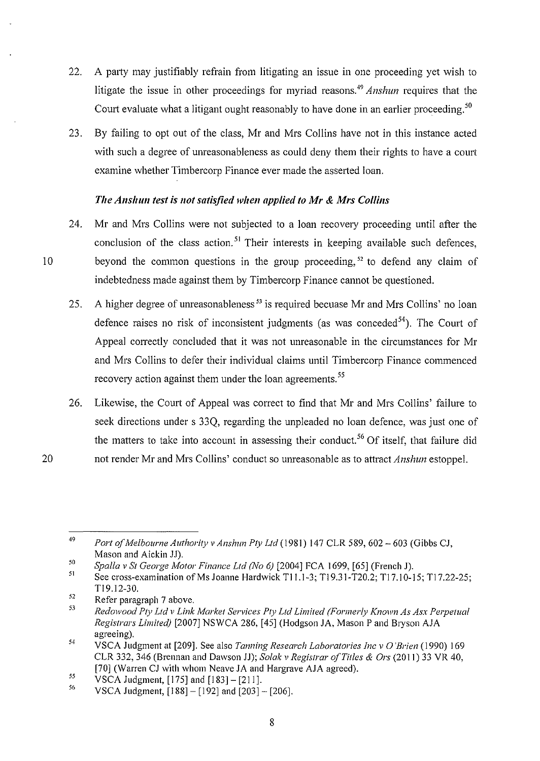- 22. A party may justifiably refrain from litigating an issue in one proceeding yet wish to litigate the issue in other proceedings for myriad reasons. 49 *Anshun* requires that the Court evaluate what a litigant ought reasonably to have done in an earlier proceeding.<sup>50</sup>
- 23. By failing to opt out of the class, Mr and Mrs Collins have not in this instance acted with such a degree of unreasonableness as could deny them their rights to have a court examine whether Timbercorp Finance ever made the asserted loan.

### *The Anshun test is not satisfied when applied to Mr* **&** *Mrs Collins*

- 24. Mr and Mrs Collins were not subjected to a loan recovery proceeding until after the conclusion of the class action.<sup>51</sup> Their interests in keeping available such defences, 10 beyond the common questions in the group proceeding,  $52$  to defend any claim of indebtedness made against them by Timbercorp Finance cannot be questioned.
	- 25. A higher degree of unreasonableness<sup>53</sup> is required becuase Mr and Mrs Collins' no loan defence raises no risk of inconsistent judgments (as was conceded<sup>54</sup>). The Court of Appeal correctly concluded that it was not unreasonable in the circumstances for Mr and Mrs Collins to defer their individual claims until Timbercorp Finance commenced recovery action against them under the loan agreements.<sup>55</sup>
	- 26. Likewise, the Court of Appeal was correct to find that Mr and Mrs Collins' failure to seek directions under s 33Q, regarding the unpleaded no loan defence, was just one of the matters to take into account in assessing their conduct.<sup>56</sup> Of itself, that failure did not render Mr and Mrs Collins' conduct so unreasonable as to attract *Anshun* estoppel.

20

<sup>49</sup>  *Port of Melbourne Authority v Anshun Pty Ltd* (1981) 147 CLR 589, 602- 603 (Gibbs CJ, Mason and Aickin JJ).

<sup>50</sup>  *Spalla v St George Motor Finance Ltd (No 6)* [2004] FCA !699, [65] (French J).

<sup>5</sup>I See cross-examination of Ms Joanne Hardwick T11.1-3; T19.31-T20.2; T17.10-15; T17.22-25; Tl9.12-30.

<sup>52</sup>  Refer paragraph 7 above.

**<sup>53</sup>**  Redowood Pty Ltd v Link Market Services Pty Ltd Limited (Formerly Known As Asx Perpetual *Registrars Limited)* [2007] NSWCA 286, [45] (Hodgson JA, Mason P and Bryson AJA agreeing).

<sup>54</sup>  VSCA Judgment at [209]. See also *Tanning Research Laboratories !ne v* 0 *'Brien* ( 1990) 169 CLR 332, 346 (Brennan and Dawson JJ); *Solak v Registrar of Titles* & *Ors* (2011) 33 VR 40, [70] (Warren CJ with whom Neave JA and Hargrave AJA agreed).

<sup>55</sup>  VSCA Judgment,  $[175]$  and  $[183] - [211]$ .

<sup>56</sup>  VSCA Judgment, [188]- [192] and [203]- [206].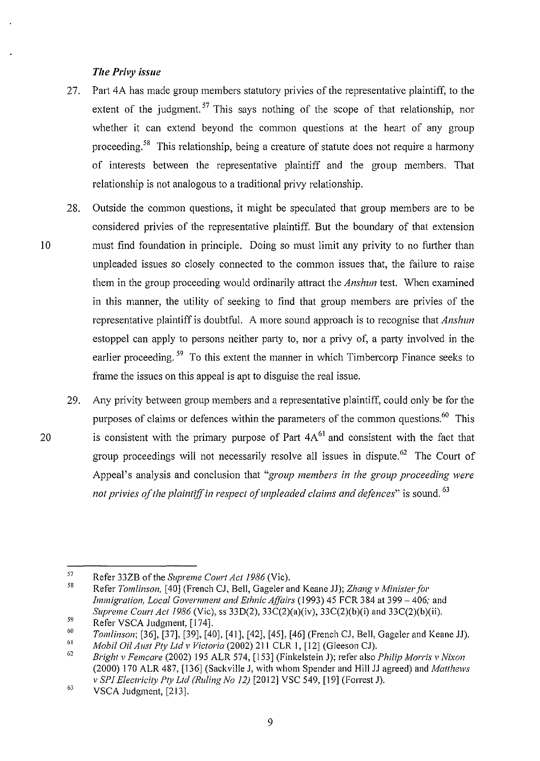#### *The Privy issue*

- 27. Part 4A has made group members statutory privies of the representative plaintiff, to the extent of the judgment.<sup>57</sup> This says nothing of the scope of that relationship, nor whether it can extend beyond the common questions at the heart of any group proceeding. 58 This relationship, being a creature of statute does not require a harmony of interests between the representative plaintiff and the group members. That relationship is not analogous to a traditional privy relationship.
- 28. Outside the common questions, it might be speculated that group members are to be considered privies of the representative plaintiff. But the boundary of that extension I 0 must find foundation in principle. Doing so must limit any privity to no further than unpleaded issues so closely connected to the common issues that, the failure to raise them in the group proceeding would ordinarily attract the *Anshun* test. When examined in this manner, the utility of seeking to find that group members are privies of the representative plaintiff is doubtful. A more sound approach is to recognise that *Anshun*  estoppel can apply to persons neither party to, nor a privy of, a party involved in the earlier proceeding.<sup>59</sup> To this extent the manner in which Timbercorp Finance seeks to frame the issues on this appeal is apt to disguise the real issue.
- 29. Any privity between group members and a representative plaintiff, could only be for the purposes of claims or defences within the parameters of the common questions.<sup>60</sup> This 20 is consistent with the primary purpose of Part  $4A<sup>61</sup>$  and consistent with the fact that group proceedings will not necessarily resolve all issues in dispute.  $62$  The Court of Appeal's analysis and conclusion that *"group members in the group proceeding were not privies of the plaintiff in respect of unpleaded claims and defences*" is sound. <sup>63</sup>

<sup>57</sup>  Refer 33ZB of the *Supreme Court Act 1986* (Vie).

<sup>58</sup>  Refer *Tomlinson,* [40] (French CJ, Bell, Gageler and Keane JJ); *Zhang v Minister for Immigration, Local Government and Ethnic Affairs* (1993) 45 FCR 384 at 399- 406; and *Supreme Court Act 1986* (Vie), ss 330(2), 33C(2)(a)(iv), 33C(2)(b)(i) and 33C(2)(b)(ii).

<sup>59</sup>  Refer VSCA Judgment, [174].

<sup>60</sup>  61 *Tomlinson;* [36], [37], [39], [40], [41], [42], [45], [46] (French CJ, Bell, Gageler and Keane JJ).

*Mobil Oil Aust Pty Ltd v Victoria* (2002) 211 CLR 1, [12] (Gleeson CJ).

<sup>62</sup>  *Bright v Femcare* (2002) 195 ALR 574, [153] (Finkelstein J); refer also *Phi lip Morris v Nixon*  (2000) 170 ALR 487, [136] (Sackville J, with whom Spender and Hill JJ agreed) and *Matt hews v SPI Electricity Pty Ltd (Ruling No 12)* [2012] VSC 549, [19] (Forrest J).

<sup>63</sup>  VSCA Judgment, [213].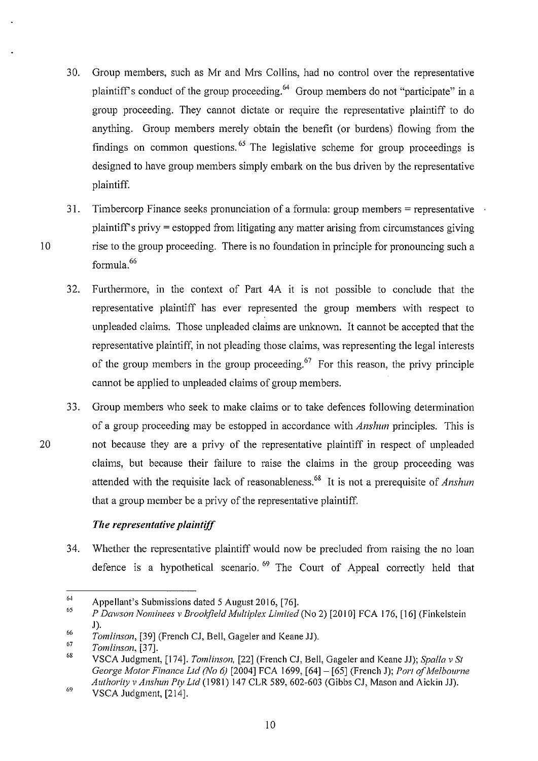- 30. Group members, such as Mr and Mrs Collins, had no control over the representative plaintiff's conduct of the group proceeding.<sup>64</sup> Group members do not "participate" in a group proceeding. They cannot dictate or require the representative plaintiff to do anything. Group members merely obtain the benefit (or burdens) flowing from the findings on common questions.  $65$  The legislative scheme for group proceedings is designed to have group members simply embark on the bus driven by the representative plaintiff.
- 31. Timbercorp Finance seeks pronunciation of a formula: group members  $=$  representative  $\cdot$ plaintiffs privy = estopped from litigating any matter arising from circumstances giving 10 rise to the group proceeding. There is no foundation in principle for pronouncing such a formula. <sup>66</sup>
	- 32. Furthermore, in the context of Part 4A it is not possible to conclude that the representative plaintiff has ever represented the group members with respect to unpleaded claims. Those unpleaded claims are unknown. It cannot be accepted that the representative plaintiff, in not pleading those claims, was representing the legal interests of the group members in the group proceeding.<sup>67</sup> For this reason, the privy principle cannot be applied to unpleaded claims of group members.
- 33. Group members who seek to make claims or to take defences following determination of a group proceeding may be estopped in accordance with *Anshun* principles. This is 20 not because they are a privy of the representative plaintiff in respect of unpleaded claims, but because their failure to raise the claims in the group proceeding was attended with the requisite lack of reasonableness.68 It is not a prerequisite of *Anslnm*  that a group member be a privy of the representative plaintiff.

### *The representative plaintiff*

34. Whether the representative plaintiff would now be precluded from raising the no loan defence is a hypothetical scenario.  $69$  The Court of Appeal correctly held that

<sup>64</sup>  Appellant's Submissions dated 5 August 2016, [76].

<sup>65</sup>  *P Dawson Nominees v Brookfield Multiplex Limited* (No 2) [2010] FCA 176, [16] (Finkelstein J).

<sup>66</sup>  *Tomlinson,* [39] (French CJ, Bell, Gageler and Keane JJ).

<sup>67</sup>  *Tomlinson,* [37].

<sup>68</sup>  VSCA Judgment, [174]. *Tomlinson,* [22] (French CJ, Bell, Gageler and Keane JJ); *Spa/la v St George Motor Finance Ltd (No 6)* [2004] FCA 1699, [64]- [65] (French J); *Port of Melbourne Authority v Anshun Pty Ltd* (1981) 147 CLR 589, 602-603 (Gibbs CJ, Mason and Aickin JJ).

<sup>69</sup>  VSCA Judgment, [214].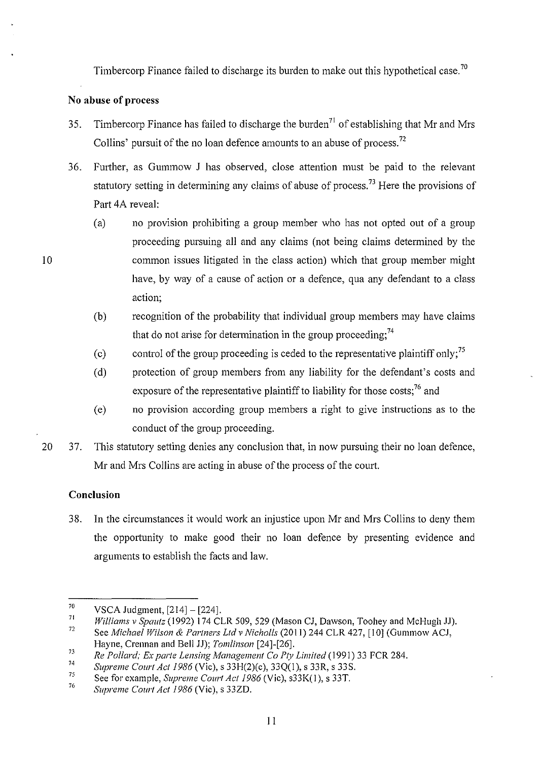Timbercorp Finance failed to discharge its burden to make out this hypothetical case.<sup>70</sup>

### **No abuse of process**

- 35. Timbercorp Finance has failed to discharge the burden<sup>71</sup> of establishing that Mr and Mrs Collins' pursuit of the no loan defence amounts to an abuse of process.<sup>72</sup>
- 36. Further, as Gummow J has observed, close attention must be paid to the relevant statutory setting in determining any claims of abuse of process.<sup>73</sup> Here the provisions of Part 4A reveal:
	- (a) no provision prohibiting a group member who has not opted out of a group proceeding pursuing all and any claims (not being claims determined by the common issues litigated in the class action) which that group member might have, by way of a cause of action or a defence, qua any defendant to a class action;
	- (b) recognition of the probability that individual group members may have claims that do not arise for determination in the group proceeding;  $74$
	- (c) control of the group proceeding is ceded to the representative plaintiff only;<sup>75</sup>
	- (d) protection of group members from any liability for the defendant's costs and exposure of the representative plaintiff to liability for those costs;<sup>76</sup> and
	- (e) no provision according group members a right to give instructions as to the conduct of the group proceeding.
- 20 37. This statutory setting denies any conclusion that, in now pursuing their no loan defence, Mr and Mrs Collins are acting in abuse of the process of the court.

### **Conclusion**

38. In the circumstances it would work an injustice upon Mr and Mrs Collins to deny them the opportunity to make good their no loan defence by presenting evidence and arguments to establish the facts and law.

<sup>70</sup>  VSCA Judgment, [214]- [224].

<sup>71</sup>  *Wil/iams v Spautz* (1992) 174 CLR 509, 529 (Mason CJ, Dawson, Toohey and MeHugh JJ).

<sup>72</sup>  See *Michael Wilson & Partners Ltd v Nicholls* (2011) 244 CLR 427, [10] (Gummow ACJ, Hayne, Crennan and Bell JJ); *Tomlinson* [24]-[26].

**<sup>73</sup>**  *Re Pollard; Ex parte Lensing Management Co Ply Limited* (1991) 33 FCR 284.

<sup>74</sup>  *Supreme Court Ac/1986* (Vie), s 33H(2)(e), 33Q(l), s 33R, s 33S.

<sup>75</sup>  See for example, *Supreme Court Act 1986* (Vic), s33K(1), s 33T.

<sup>76</sup>  *Supreme Court Ac/1986* (Vie), s 33ZD.